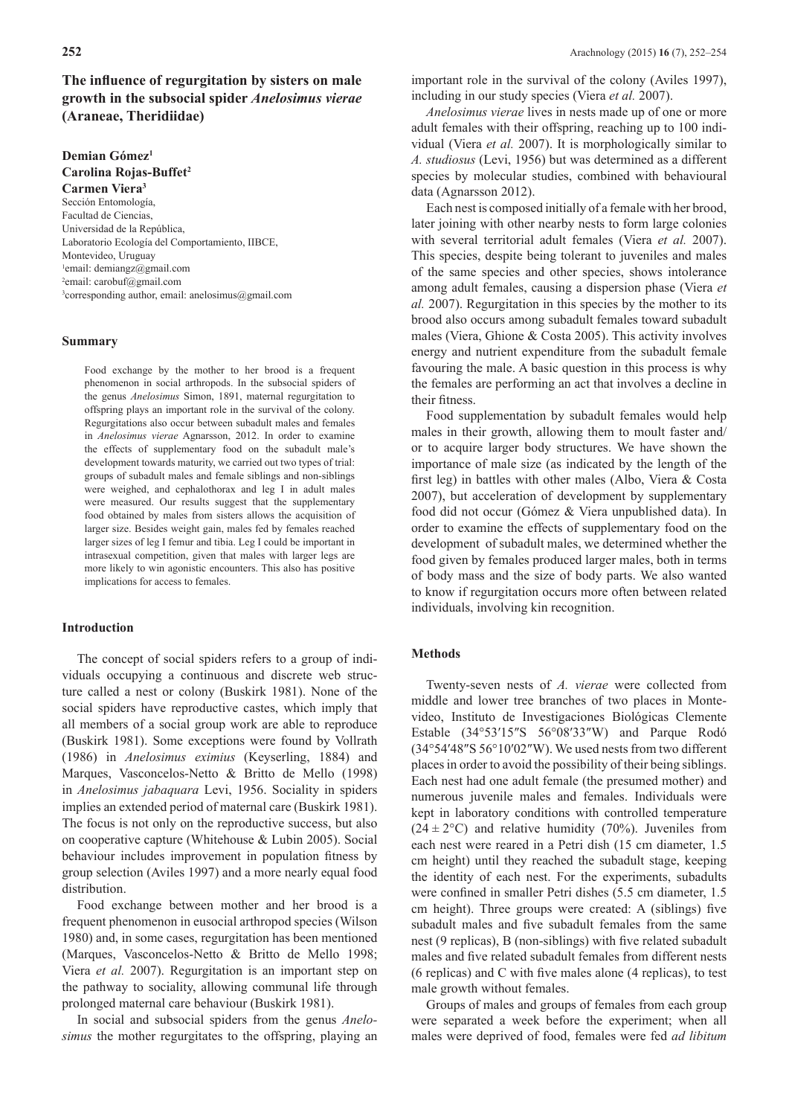## **The infuence of regurgitation by sisters on male growth in the subsocial spider** *Anelosimus vierae* **(Araneae, Theridiidae)**

# **Demian Gómez1 Carolina Rojas-Buffet2**

**Carmen Viera3** Sección Entomología, Facultad de Ciencias, Universidad de la República, Laboratorio Ecología del Comportamiento, IIBCE, Montevideo, Uruguay 1 email: demiangz@gmail.com <sup>2</sup>email: carobuf@gmail.com 3 corresponding author, email: anelosimus@gmail.com

## **Summary**

Food exchange by the mother to her brood is a frequent phenomenon in social arthropods. In the subsocial spiders of the genus *Anelosimus* Simon, 1891, maternal regurgitation to offspring plays an important role in the survival of the colony. Regurgitations also occur between subadult males and females in *Anelosimus vierae* Agnarsson, 2012. In order to examine the effects of supplementary food on the subadult male's development towards maturity, we carried out two types of trial: groups of subadult males and female siblings and non-siblings were weighed, and cephalothorax and leg I in adult males were measured. Our results suggest that the supplementary food obtained by males from sisters allows the acquisition of larger size. Besides weight gain, males fed by females reached larger sizes of leg I femur and tibia. Leg I could be important in intrasexual competition, given that males with larger legs are more likely to win agonistic encounters. This also has positive implications for access to females.

## **Introduction**

The concept of social spiders refers to a group of individuals occupying a continuous and discrete web structure called a nest or colony (Buskirk 1981). None of the social spiders have reproductive castes, which imply that all members of a social group work are able to reproduce (Buskirk 1981). Some exceptions were found by Vollrath (1986) in *Anelosimus eximius* (Keyserling, 1884) and Marques, Vasconcelos-Netto & Britto de Mello (1998) in *Anelosimus jabaquara* Levi, 1956. Sociality in spiders implies an extended period of maternal care (Buskirk 1981). The focus is not only on the reproductive success, but also on cooperative capture (Whitehouse & Lubin 2005). Social behaviour includes improvement in population ftness by group selection (Aviles 1997) and a more nearly equal food distribution.

Food exchange between mother and her brood is a frequent phenomenon in eusocial arthropod species (Wilson 1980) and, in some cases, regurgitation has been mentioned (Marques, Vasconcelos-Netto & Britto de Mello 1998; Viera *et al.* 2007). Regurgitation is an important step on the pathway to sociality, allowing communal life through prolonged maternal care behaviour (Buskirk 1981).

In social and subsocial spiders from the genus *Anelosimus* the mother regurgitates to the offspring, playing an important role in the survival of the colony (Aviles 1997), including in our study species (Viera *et al.* 2007).

*Anelosimus vierae* lives in nests made up of one or more adult females with their offspring, reaching up to 100 individual (Viera *et al.* 2007). It is morphologically similar to *A. studiosus* (Levi, 1956) but was determined as a different species by molecular studies, combined with behavioural data (Agnarsson 2012).

Each nest is composed initially of a female with her brood, later joining with other nearby nests to form large colonies with several territorial adult females (Viera *et al.* 2007). This species, despite being tolerant to juveniles and males of the same species and other species, shows intolerance among adult females, causing a dispersion phase (Viera *et al.* 2007). Regurgitation in this species by the mother to its brood also occurs among subadult females toward subadult males (Viera, Ghione & Costa 2005). This activity involves energy and nutrient expenditure from the subadult female favouring the male. A basic question in this process is why the females are performing an act that involves a decline in their fitness.

Food supplementation by subadult females would help males in their growth, allowing them to moult faster and/ or to acquire larger body structures. We have shown the importance of male size (as indicated by the length of the frst leg) in battles with other males (Albo, Viera & Costa 2007), but acceleration of development by supplementary food did not occur (Gómez & Viera unpublished data). In order to examine the effects of supplementary food on the development of subadult males, we determined whether the food given by females produced larger males, both in terms of body mass and the size of body parts. We also wanted to know if regurgitation occurs more often between related individuals, involving kin recognition.

## **Methods**

Twenty-seven nests of *A. vierae* were collected from middle and lower tree branches of two places in Montevideo, Instituto de Investigaciones Biológicas Clemente Estable (34°53′15″S 56°08′33″W) and Parque Rodó (34°54′48″S 56°10′02″W). We used nests from two different places in order to avoid the possibility of their being siblings. Each nest had one adult female (the presumed mother) and numerous juvenile males and females. Individuals were kept in laboratory conditions with controlled temperature  $(24 \pm 2^{\circ}C)$  and relative humidity (70%). Juveniles from each nest were reared in a Petri dish (15 cm diameter, 1.5 cm height) until they reached the subadult stage, keeping the identity of each nest. For the experiments, subadults were confned in smaller Petri dishes (5.5 cm diameter, 1.5 cm height). Three groups were created: A (siblings) fve subadult males and fve subadult females from the same nest (9 replicas), B (non-siblings) with fve related subadult males and fve related subadult females from different nests (6 replicas) and C with fve males alone (4 replicas), to test male growth without females.

Groups of males and groups of females from each group were separated a week before the experiment; when all males were deprived of food, females were fed *ad libitum*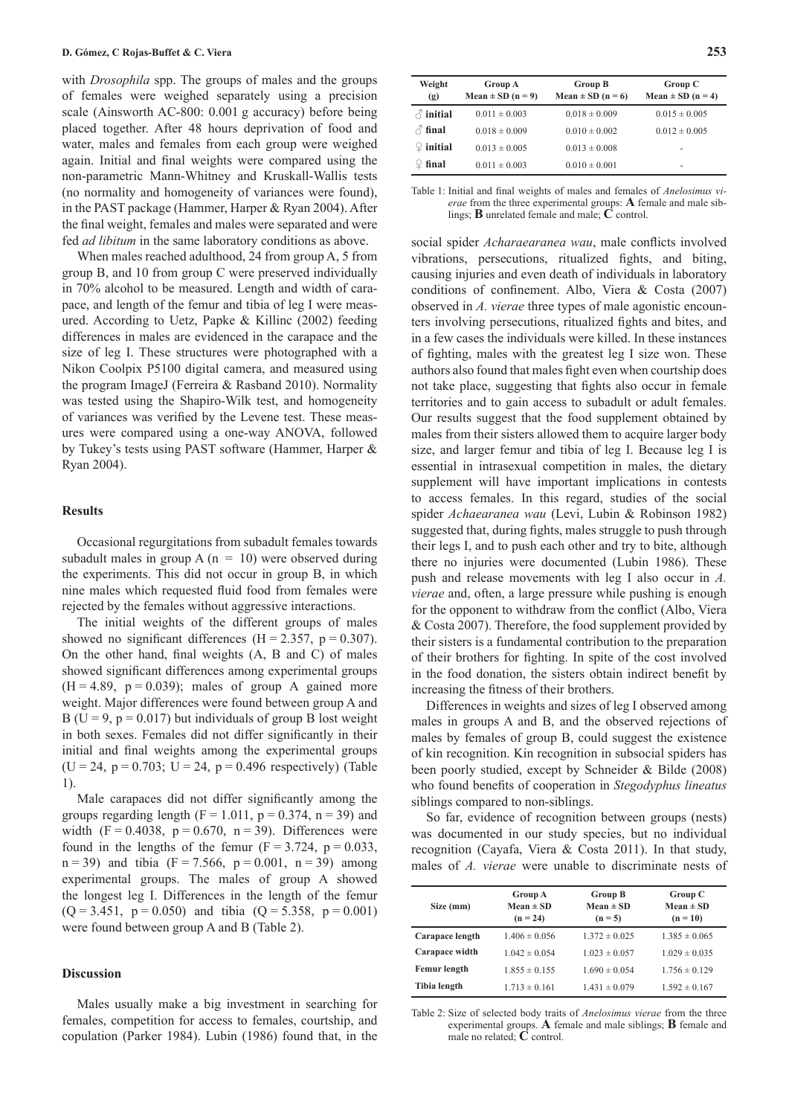with *Drosophila* spp. The groups of males and the groups of females were weighed separately using a precision scale (Ainsworth AC-800: 0.001 g accuracy) before being placed together. After 48 hours deprivation of food and water, males and females from each group were weighed again. Initial and fnal weights were compared using the non-parametric Mann-Whitney and Kruskall-Wallis tests (no normality and homogeneity of variances were found), in the PAST package (Hammer, Harper & Ryan 2004). After the fnal weight, females and males were separated and were fed *ad libitum* in the same laboratory conditions as above.

When males reached adulthood, 24 from group A, 5 from group B, and 10 from group C were preserved individually in 70% alcohol to be measured. Length and width of carapace, and length of the femur and tibia of leg I were measured. According to Uetz, Papke & Killinc (2002) feeding differences in males are evidenced in the carapace and the size of leg I. These structures were photographed with a Nikon Coolpix P5100 digital camera, and measured using the program ImageJ (Ferreira & Rasband 2010). Normality was tested using the Shapiro-Wilk test, and homogeneity of variances was verifed by the Levene test. These measures were compared using a one-way ANOVA, followed by Tukey's tests using PAST software (Hammer, Harper & Ryan 2004).

#### **Results**

Occasional regurgitations from subadult females towards subadult males in group A ( $n = 10$ ) were observed during the experiments. This did not occur in group B, in which nine males which requested fuid food from females were rejected by the females without aggressive interactions.

The initial weights of the different groups of males showed no significant differences ( $H = 2.357$ ,  $p = 0.307$ ). On the other hand, fnal weights (A, B and C) of males showed signifcant differences among experimental groups  $(H = 4.89, p = 0.039)$ ; males of group A gained more weight. Major differences were found between group A and B ( $U = 9$ ,  $p = 0.017$ ) but individuals of group B lost weight in both sexes. Females did not differ signifcantly in their initial and fnal weights among the experimental groups  $(U = 24, p = 0.703; U = 24, p = 0.496$  respectively) (Table 1).

Male carapaces did not differ signifcantly among the groups regarding length ( $F = 1.011$ ,  $p = 0.374$ ,  $n = 39$ ) and width (F = 0.4038, p = 0.670, n = 39). Differences were found in the lengths of the femur ( $F = 3.724$ ,  $p = 0.033$ ,  $n = 39$ ) and tibia (F = 7.566, p = 0.001, n = 39) among experimental groups. The males of group A showed the longest leg I. Differences in the length of the femur  $(O = 3.451, p = 0.050)$  and tibia  $(O = 5.358, p = 0.001)$ were found between group A and B (Table 2).

#### **Discussion**

Males usually make a big investment in searching for females, competition for access to females, courtship, and copulation (Parker 1984). Lubin (1986) found that, in the

| Weight<br>(g)         | <b>Group A</b><br>Mean $\pm$ SD (n = 9) | <b>Group B</b><br>Mean $\pm$ SD (n = 6) | Group C<br>Mean $\pm$ SD (n = 4) |
|-----------------------|-----------------------------------------|-----------------------------------------|----------------------------------|
| $\triangle$ initial   | $0.011 \pm 0.003$                       | $0.018 \pm 0.009$                       | $0.015 \pm 0.005$                |
| $\triangle$ final     | $0.018 \pm 0.009$                       | $0.010 \pm 0.002$                       | $0.012 \pm 0.005$                |
| $\mathcal{Q}$ initial | $0.013 \pm 0.005$                       | $0.013 \pm 0.008$                       | ۰                                |
| final                 | $0.011 \pm 0.003$                       | $0.010 \pm 0.001$                       | ٠                                |

Table 1: Initial and fnal weights of males and females of *Anelosimus vierae* from the three experimental groups: **A** female and male siblings; **B** unrelated female and male; **C** control.

social spider *Acharaearanea wau*, male conficts involved vibrations, persecutions, ritualized fghts, and biting, causing injuries and even death of individuals in laboratory conditions of confnement. Albo, Viera & Costa (2007) observed in *A. vierae* three types of male agonistic encounters involving persecutions, ritualized fghts and bites, and in a few cases the individuals were killed. In these instances of fghting, males with the greatest leg I size won. These authors also found that males fght even when courtship does not take place, suggesting that fghts also occur in female territories and to gain access to subadult or adult females. Our results suggest that the food supplement obtained by males from their sisters allowed them to acquire larger body size, and larger femur and tibia of leg I. Because leg I is essential in intrasexual competition in males, the dietary supplement will have important implications in contests to access females. In this regard, studies of the social spider *Achaearanea wau* (Levi, Lubin & Robinson 1982) suggested that, during fghts, males struggle to push through their legs I, and to push each other and try to bite, although there no injuries were documented (Lubin 1986). These push and release movements with leg I also occur in *A. vierae* and, often, a large pressure while pushing is enough for the opponent to withdraw from the confict (Albo, Viera & Costa 2007). Therefore, the food supplement provided by their sisters is a fundamental contribution to the preparation of their brothers for fghting. In spite of the cost involved in the food donation, the sisters obtain indirect beneft by increasing the ftness of their brothers.

Differences in weights and sizes of leg I observed among males in groups A and B, and the observed rejections of males by females of group B, could suggest the existence of kin recognition. Kin recognition in subsocial spiders has been poorly studied, except by Schneider & Bilde (2008) who found benefts of cooperation in *Stegodyphus lineatus* siblings compared to non-siblings.

So far, evidence of recognition between groups (nests) was documented in our study species, but no individual recognition (Cayafa, Viera & Costa 2011). In that study, males of *A. vierae* were unable to discriminate nests of

| Size (mm)       | <b>Group A</b><br>$Mean \pm SD$<br>$(n = 24)$ | <b>Group B</b><br>Mean $\pm$ SD<br>$(n = 5)$ | Group C<br>$Mean \pm SD$<br>$(n = 10)$ |
|-----------------|-----------------------------------------------|----------------------------------------------|----------------------------------------|
| Carapace length | $1.406 \pm 0.056$                             | $1.372 \pm 0.025$                            | $1.385 \pm 0.065$                      |
| Carapace width  | $1.042 \pm 0.054$                             | $1.023 \pm 0.057$                            | $1.029 \pm 0.035$                      |
| Femur length    | $1.855 \pm 0.155$                             | $1.690 \pm 0.054$                            | $1.756 \pm 0.129$                      |
| Tibia length    | $1.713 \pm 0.161$                             | $1.431 \pm 0.079$                            | $1.592 \pm 0.167$                      |

Table 2: Size of selected body traits of *Anelosimus vierae* from the three experimental groups. **A** female and male siblings; **B** female and male no related; **C** control.